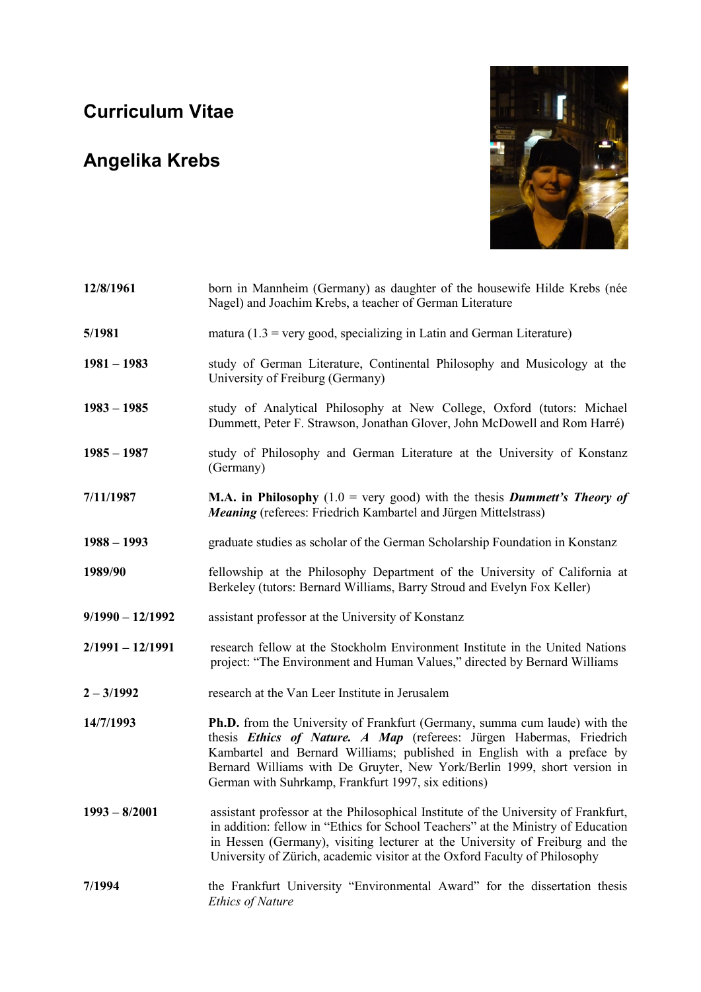## **Curriculum Vitae**

## **Angelika Krebs**



| 12/8/1961          | born in Mannheim (Germany) as daughter of the housewife Hilde Krebs (née<br>Nagel) and Joachim Krebs, a teacher of German Literature                                                                                                                                                                                                                                   |
|--------------------|------------------------------------------------------------------------------------------------------------------------------------------------------------------------------------------------------------------------------------------------------------------------------------------------------------------------------------------------------------------------|
| 5/1981             | matura (1.3 = very good, specializing in Latin and German Literature)                                                                                                                                                                                                                                                                                                  |
| $1981 - 1983$      | study of German Literature, Continental Philosophy and Musicology at the<br>University of Freiburg (Germany)                                                                                                                                                                                                                                                           |
| $1983 - 1985$      | study of Analytical Philosophy at New College, Oxford (tutors: Michael<br>Dummett, Peter F. Strawson, Jonathan Glover, John McDowell and Rom Harré)                                                                                                                                                                                                                    |
| $1985 - 1987$      | study of Philosophy and German Literature at the University of Konstanz<br>(Germany)                                                                                                                                                                                                                                                                                   |
| 7/11/1987          | <b>M.A.</b> in Philosophy (1.0 = very good) with the thesis <i>Dummett's Theory of</i><br>Meaning (referees: Friedrich Kambartel and Jürgen Mittelstrass)                                                                                                                                                                                                              |
| $1988 - 1993$      | graduate studies as scholar of the German Scholarship Foundation in Konstanz                                                                                                                                                                                                                                                                                           |
| 1989/90            | fellowship at the Philosophy Department of the University of California at<br>Berkeley (tutors: Bernard Williams, Barry Stroud and Evelyn Fox Keller)                                                                                                                                                                                                                  |
| $9/1990 - 12/1992$ | assistant professor at the University of Konstanz                                                                                                                                                                                                                                                                                                                      |
| $2/1991 - 12/1991$ | research fellow at the Stockholm Environment Institute in the United Nations<br>project: "The Environment and Human Values," directed by Bernard Williams                                                                                                                                                                                                              |
| $2 - 3/1992$       | research at the Van Leer Institute in Jerusalem                                                                                                                                                                                                                                                                                                                        |
| 14/7/1993          | <b>Ph.D.</b> from the University of Frankfurt (Germany, summa cum laude) with the<br>thesis Ethics of Nature. A Map (referees: Jürgen Habermas, Friedrich<br>Kambartel and Bernard Williams; published in English with a preface by<br>Bernard Williams with De Gruyter, New York/Berlin 1999, short version in<br>German with Suhrkamp, Frankfurt 1997, six editions) |
| $1993 - 8/2001$    | assistant professor at the Philosophical Institute of the University of Frankfurt,<br>in addition: fellow in "Ethics for School Teachers" at the Ministry of Education<br>in Hessen (Germany), visiting lecturer at the University of Freiburg and the<br>University of Zürich, academic visitor at the Oxford Faculty of Philosophy                                   |
| 7/1994             | the Frankfurt University "Environmental Award" for the dissertation thesis<br><b>Ethics of Nature</b>                                                                                                                                                                                                                                                                  |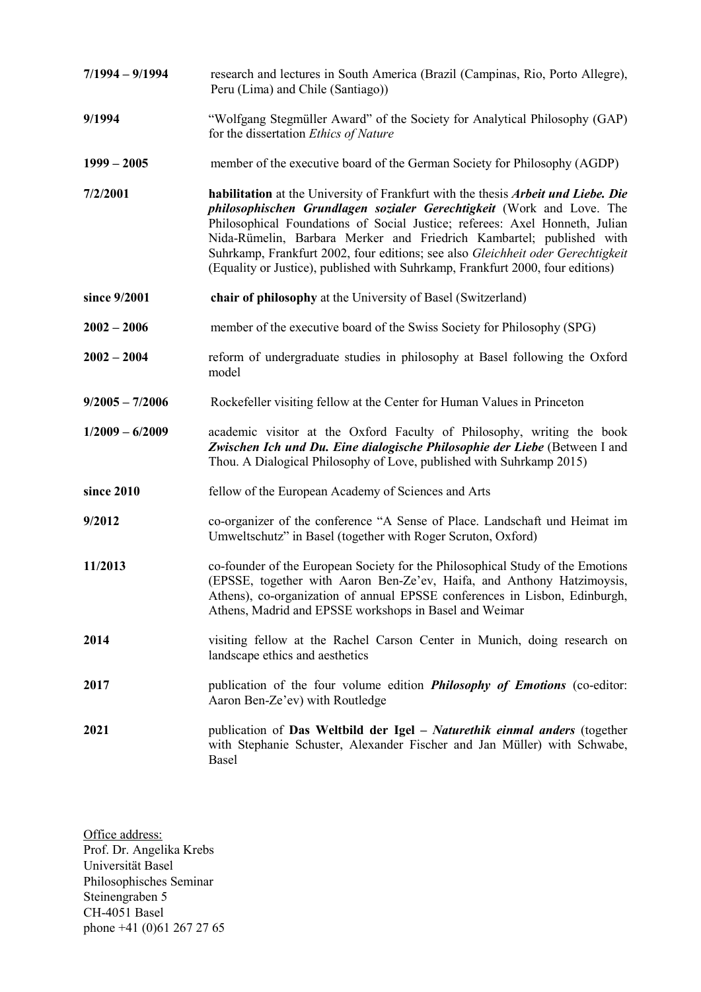- **7/1994 – 9/1994** research and lectures in South America (Brazil (Campinas, Rio, Porto Allegre), Peru (Lima) and Chile (Santiago))
- **9/1994** "Wolfgang Stegmüller Award" of the Society for Analytical Philosophy (GAP) for the dissertation *Ethics of Nature*
- **1999 – 2005** member of the executive board of the German Society for Philosophy (AGDP)
- **7/2/2001 habilitation** at the University of Frankfurt with the thesis *Arbeit und Liebe. Die philosophischen Grundlagen sozialer Gerechtigkeit* (Work and Love. The Philosophical Foundations of Social Justice; referees: Axel Honneth, Julian Nida-Rümelin, Barbara Merker and Friedrich Kambartel; published with Suhrkamp, Frankfurt 2002, four editions; see also *Gleichheit oder Gerechtigkeit* (Equality or Justice), published with Suhrkamp, Frankfurt 2000, four editions)
- **since 9/2001 chair of philosophy** at the University of Basel (Switzerland)
- **2002 – 2006** member of the executive board of the Swiss Society for Philosophy (SPG)
- **2002 – 2004** reform of undergraduate studies in philosophy at Basel following the Oxford model
- **9/2005 – 7/2006** Rockefeller visiting fellow at the Center for Human Values in Princeton
- **1/2009 – 6/2009** academic visitor at the Oxford Faculty of Philosophy, writing the book *Zwischen Ich und Du. Eine dialogische Philosophie der Liebe* (Between I and Thou. A Dialogical Philosophy of Love, published with Suhrkamp 2015)
- **since 2010** fellow of the European Academy of Sciences and Arts
- **9/2012** co-organizer of the conference "A Sense of Place. Landschaft und Heimat im Umweltschutz" in Basel (together with Roger Scruton, Oxford)
- **11/2013** co-founder of the European Society for the Philosophical Study of the Emotions (EPSSE, together with Aaron Ben-Ze'ev, Haifa, and Anthony Hatzimoysis, Athens), co-organization of annual EPSSE conferences in Lisbon, Edinburgh, Athens, Madrid and EPSSE workshops in Basel and Weimar
- **2014** visiting fellow at the Rachel Carson Center in Munich, doing research on landscape ethics and aesthetics
- **2017** publication of the four volume edition *Philosophy of Emotions* (co-editor: Aaron Ben-Ze'ev) with Routledge
- **2021** publication of **Das Weltbild der Igel** *– Naturethik einmal anders* (together with Stephanie Schuster, Alexander Fischer and Jan Müller) with Schwabe, Basel

Office address: Prof. Dr. Angelika Krebs Universität Basel Philosophisches Seminar Steinengraben 5 CH-4051 Basel phone +41 (0)61 267 27 65